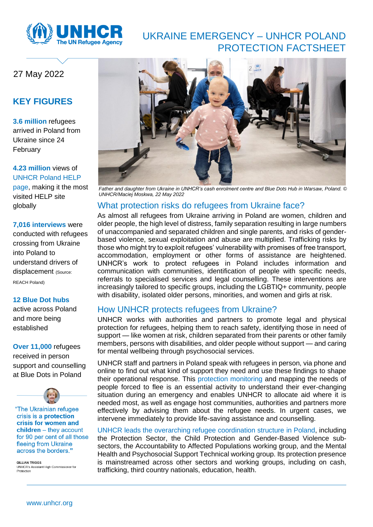

# UKRAINE EMERGENCY – UNHCR POLAND PROTECTION FACTSHEET

## 27 May 2022

### **KEY FIGURES**

**3.6 million** refugees arrived in Poland from Ukraine since 24 February

#### **4.23 million** views of [UNHCR Poland HELP](https://help.unhcr.org/poland/)

page, making it the most visited HELP site globally

#### **7,016 interviews** were

conducted with refugees crossing from Ukraine into Poland to understand drivers of displacement (Source: REACH Poland)

#### **12 Blue Dot hubs**

active across Poland and more being established

#### **Over 11,000** refugees

received in person support and counselling at Blue Dots in Poland



"The Ukrainian refugee crisis is a **protection** crisis for women and  $children - they account$ for 90 per cent of all those fleeing from Ukraine across the borders."

**GILLIAN TRIGGS** UNHCR's Assistant High Commissioner for Protection



*Father and daughter from Ukraine in UNHCR's cash enrolment centre and Blue Dots Hub in Warsaw, Poland[. ©](https://media.unhcr.org/C.aspx?VP3=DamView&KW_RID=2CZ9JXNZK_L)  [UNHCR/Maciej Moskwa,](https://media.unhcr.org/C.aspx?VP3=DamView&KW_RID=2CZ9JXNZK_L) 22 May 2022*

## What protection risks do refugees from Ukraine face?

As almost all refugees from Ukraine arriving in Poland are women, children and older people, the high level of distress, family separation resulting in large numbers of unaccompanied and separated children and single parents, and risks of genderbased violence, sexual exploitation and abuse are multiplied. Trafficking risks by those who might try to exploit refugees' vulnerability with promises of free transport, accommodation, employment or other forms of assistance are heightened. UNHCR's work to protect refugees in Poland includes information and communication with communities, identification of people with specific needs, referrals to specialised services and legal counselling. These interventions are increasingly tailored to specific groups, including the LGBTIQ+ community, people with disability, isolated older persons, minorities, and women and girls at risk.

#### How UNHCR protects refugees from Ukraine?

UNHCR works with authorities and partners to promote legal and physical protection for refugees, helping them to reach safety, identifying those in need of support — like women at risk, children separated from their parents or other family members, persons with disabilities, and older people without support — and caring for mental wellbeing through psychosocial services.

UNHCR staff and partners in Poland speak with refugees in person, via phone and online to find out what kind of support they need and use these findings to shape their operational response. This protection monitoring and mapping the needs of people forced to flee is an essential activity to understand their ever-changing situation during an emergency and enables UNHCR to allocate aid where it is needed most, as well as engage host communities, authorities and partners more effectively by advising them about the refugee needs. In urgent cases, we intervene immediately to provide life-saving assistance and counselling.

UNHCR leads the overarching refugee coordination structure in Poland, including the Protection Sector, the Child Protection and Gender-Based Violence subsectors, the Accountability to Affected Populations working group, and the Mental Health and Psychosocial Support Technical working group. Its protection presence is mainstreamed across other sectors and working groups, including on cash, trafficking, third country nationals, education, health.